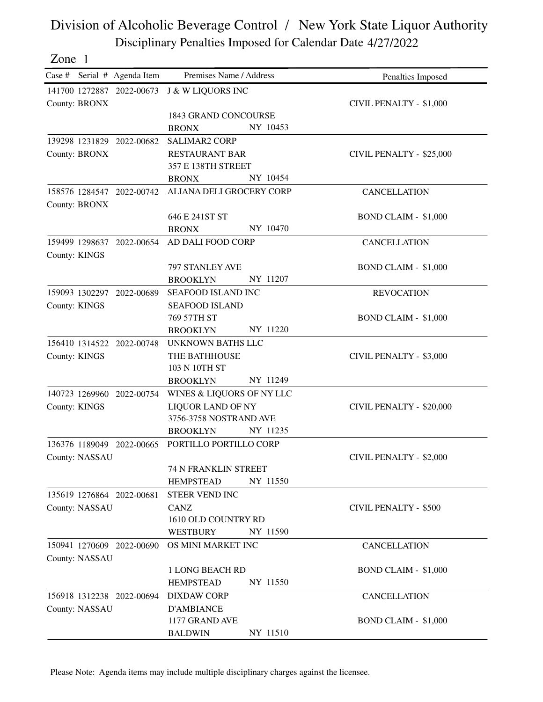Zone 1

Case # Serial # Agenda Item Premises Name / Address Penalties Imposed 141700 1272887 2022-00673 J & W LIQUORS INC County: BRONX 1843 GRAND CONCOURSE BRONX NY 10453 CIVIL PENALTY - \$1,000 139298 1231829 RESTAURANT BAR SALIMAR2 CORP County: BRONX 357 E 138TH STREET BRONX NY 10454 CIVIL PENALTY - \$25,000 158576 1284547 2022-00742 ALIANA DELI GROCERY CORP County: BRONX 646 E 241ST ST BRONX NY 10470 CANCELLATION BOND CLAIM - \$1,000 159499 1298637 2022-00654 AD DALI FOOD CORP County: KINGS 797 STANLEY AVE BROOKLYN NY 11207 **CANCELLATION** BOND CLAIM - \$1,000 159093 1302297 SEAFOOD ISLAND SEAFOOD ISLAND INC County: KINGS 769 57TH ST BROOKLYN NY 11220 **REVOCATION** BOND CLAIM - \$1,000 156410 1314522 THE BATHHOUSE 2022-00748 UNKNOWN BATHS LLC County: KINGS 103 N 10TH ST BROOKLYN NY 11249 CIVIL PENALTY - \$3,000 140723 1269960 LIQUOR LAND OF NY WINES & LIQUORS OF NY LLC County: KINGS 3756-3758 NOSTRAND AVE BROOKLYN NY 11235 CIVIL PENALTY - \$20,000 136376 1189049 2022-00665 PORTILLO PORTILLO CORP County: NASSAU 74 N FRANKLIN STREET HEMPSTEAD NY 11550 CIVIL PENALTY - \$2,000 135619 1276864 CANZ **STEER VEND INC** County: NASSAU 1610 OLD COUNTRY RD WESTBURY NY 11590 CIVIL PENALTY - \$500 150941 1270609 2022-00690 OS MINI MARKET INC County: NASSAU 1 LONG BEACH RD HEMPSTEAD NY 11550 **CANCELLATION** BOND CLAIM - \$1,000 156918 1312238 D'AMBIANCE DIXDAW CORP County: NASSAU 1177 GRAND AVE **CANCELLATION** BOND CLAIM - \$1,000

Please Note: Agenda items may include multiple disciplinary charges against the licensee.

BALDWIN NY 11510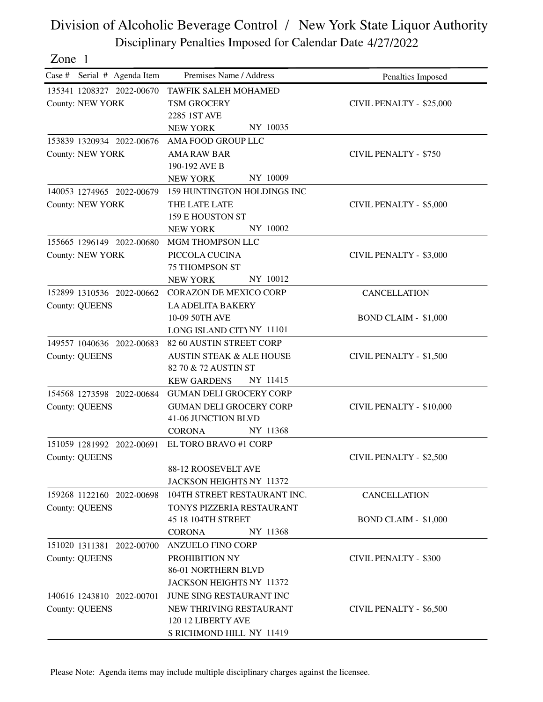| one |  |
|-----|--|
|     |  |

| Case # Serial # Agenda Item | Premises Name / Address                               | Penalties Imposed            |
|-----------------------------|-------------------------------------------------------|------------------------------|
| 135341 1208327 2022-00670   | <b>TAWFIK SALEH MOHAMED</b>                           |                              |
| <b>County: NEW YORK</b>     | TSM GROCERY                                           | CIVIL PENALTY - \$25,000     |
|                             | 2285 1ST AVE                                          |                              |
|                             | NY 10035<br><b>NEW YORK</b>                           |                              |
| 153839 1320934 2022-00676   | AMA FOOD GROUP LLC                                    |                              |
| <b>County: NEW YORK</b>     | <b>AMA RAW BAR</b>                                    | <b>CIVIL PENALTY - \$750</b> |
|                             | 190-192 AVE B                                         |                              |
|                             | NY 10009<br><b>NEW YORK</b>                           |                              |
| 140053 1274965 2022-00679   | 159 HUNTINGTON HOLDINGS INC                           |                              |
| <b>County: NEW YORK</b>     | THE LATE LATE                                         | CIVIL PENALTY - \$5,000      |
|                             | 159 E HOUSTON ST                                      |                              |
|                             | NY 10002<br><b>NEW YORK</b>                           |                              |
| 155665 1296149 2022-00680   | MGM THOMPSON LLC                                      |                              |
| <b>County: NEW YORK</b>     | PICCOLA CUCINA                                        | CIVIL PENALTY - \$3,000      |
|                             | <b>75 THOMPSON ST</b>                                 |                              |
|                             | NY 10012<br><b>NEW YORK</b>                           |                              |
| 152899 1310536 2022-00662   | <b>CORAZON DE MEXICO CORP</b>                         | <b>CANCELLATION</b>          |
| <b>County: QUEENS</b>       | <b>LA ADELITA BAKERY</b>                              |                              |
|                             | 10-09 50TH AVE                                        | <b>BOND CLAIM - \$1,000</b>  |
|                             | LONG ISLAND CITYNY 11101                              |                              |
| 149557 1040636 2022-00683   | 82 60 AUSTIN STREET CORP                              |                              |
| <b>County: QUEENS</b>       | <b>AUSTIN STEAK &amp; ALE HOUSE</b>                   | CIVIL PENALTY - \$1,500      |
|                             | 82 70 & 72 AUSTIN ST                                  |                              |
|                             | NY 11415<br><b>KEW GARDENS</b>                        |                              |
| 154568 1273598 2022-00684   | <b>GUMAN DELI GROCERY CORP</b>                        |                              |
| <b>County: QUEENS</b>       | <b>GUMAN DELI GROCERY CORP</b><br>41-06 JUNCTION BLVD | CIVIL PENALTY - \$10,000     |
|                             | NY 11368<br><b>CORONA</b>                             |                              |
| 151059 1281992 2022-00691   | EL TORO BRAVO #1 CORP                                 |                              |
|                             |                                                       |                              |
| <b>County: QUEENS</b>       | 88-12 ROOSEVELT AVE                                   | CIVIL PENALTY - \$2,500      |
|                             | JACKSON HEIGHTS NY 11372                              |                              |
| 159268 1122160 2022-00698   | 104TH STREET RESTAURANT INC.                          | <b>CANCELLATION</b>          |
| <b>County: QUEENS</b>       | TONYS PIZZERIA RESTAURANT                             |                              |
|                             | 45 18 104TH STREET                                    | <b>BOND CLAIM - \$1,000</b>  |
|                             | NY 11368<br><b>CORONA</b>                             |                              |
| 151020 1311381 2022-00700   | <b>ANZUELO FINO CORP</b>                              |                              |
| <b>County: QUEENS</b>       | PROHIBITION NY                                        | <b>CIVIL PENALTY - \$300</b> |
|                             | 86-01 NORTHERN BLVD                                   |                              |
|                             | JACKSON HEIGHTS NY 11372                              |                              |
| 140616 1243810 2022-00701   | JUNE SING RESTAURANT INC                              |                              |
| <b>County: QUEENS</b>       | NEW THRIVING RESTAURANT                               | CIVIL PENALTY - \$6,500      |
|                             | 120 12 LIBERTY AVE                                    |                              |
|                             | S RICHMOND HILL NY 11419                              |                              |

Please Note: Agenda items may include multiple disciplinary charges against the licensee.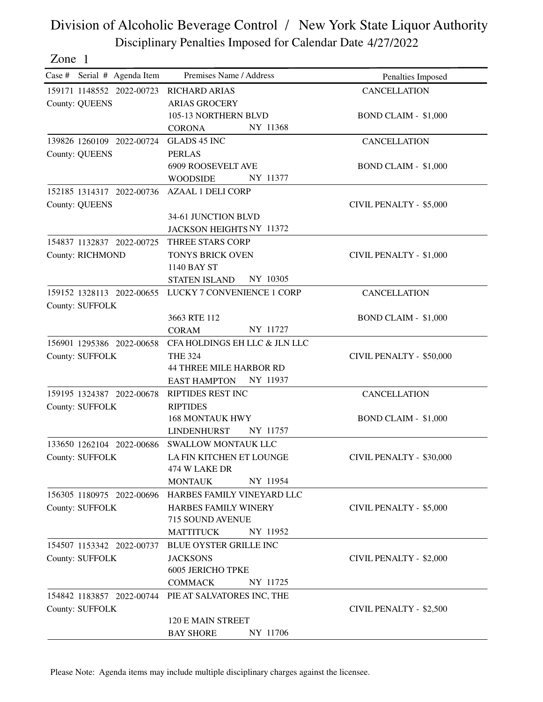Zone 1

| Case # Serial # Agenda Item | Premises Name / Address          | Penalties Imposed           |
|-----------------------------|----------------------------------|-----------------------------|
| 159171 1148552 2022-00723   | <b>RICHARD ARIAS</b>             | <b>CANCELLATION</b>         |
| <b>County: QUEENS</b>       | <b>ARIAS GROCERY</b>             |                             |
|                             | 105-13 NORTHERN BLVD             | <b>BOND CLAIM - \$1,000</b> |
|                             | NY 11368<br><b>CORONA</b>        |                             |
| 139826 1260109 2022-00724   | <b>GLADS 45 INC</b>              | <b>CANCELLATION</b>         |
| <b>County: QUEENS</b>       | <b>PERLAS</b>                    |                             |
|                             | <b>6909 ROOSEVELT AVE</b>        | <b>BOND CLAIM - \$1,000</b> |
|                             | NY 11377<br><b>WOODSIDE</b>      |                             |
| 152185 1314317 2022-00736   | <b>AZAAL 1 DELI CORP</b>         |                             |
| <b>County: QUEENS</b>       |                                  | CIVIL PENALTY - \$5,000     |
|                             | 34-61 JUNCTION BLVD              |                             |
|                             | JACKSON HEIGHTS NY 11372         |                             |
| 154837 1132837 2022-00725   | THREE STARS CORP                 |                             |
| County: RICHMOND            | <b>TONYS BRICK OVEN</b>          | CIVIL PENALTY - \$1,000     |
|                             | 1140 BAY ST                      |                             |
|                             | <b>STATEN ISLAND</b><br>NY 10305 |                             |
| 159152 1328113 2022-00655   | LUCKY 7 CONVENIENCE 1 CORP       | <b>CANCELLATION</b>         |
| County: SUFFOLK             |                                  |                             |
|                             | 3663 RTE 112                     | <b>BOND CLAIM - \$1,000</b> |
|                             | NY 11727<br><b>CORAM</b>         |                             |
| 156901 1295386 2022-00658   | CFA HOLDINGS EH LLC & JLN LLC    |                             |
| County: SUFFOLK             | <b>THE 324</b>                   | CIVIL PENALTY - \$50,000    |
|                             | <b>44 THREE MILE HARBOR RD</b>   |                             |
|                             | NY 11937<br><b>EAST HAMPTON</b>  |                             |
| 159195 1324387 2022-00678   | RIPTIDES REST INC                | <b>CANCELLATION</b>         |
| County: SUFFOLK             | <b>RIPTIDES</b>                  |                             |
|                             | <b>168 MONTAUK HWY</b>           | <b>BOND CLAIM - \$1,000</b> |
|                             | <b>LINDENHURST</b><br>NY 11757   |                             |
| 133650 1262104 2022-00686   | <b>SWALLOW MONTAUK LLC</b>       |                             |
| County: SUFFOLK             | LA FIN KITCHEN ET LOUNGE         | CIVIL PENALTY - \$30,000    |
|                             | 474 W LAKE DR                    |                             |
|                             | NY 11954<br><b>MONTAUK</b>       |                             |
| 156305 1180975 2022-00696   | HARBES FAMILY VINEYARD LLC       |                             |
| County: SUFFOLK             | HARBES FAMILY WINERY             | CIVIL PENALTY - \$5,000     |
|                             | 715 SOUND AVENUE                 |                             |
|                             | NY 11952<br><b>MATTITUCK</b>     |                             |
| 154507 1153342 2022-00737   | <b>BLUE OYSTER GRILLE INC</b>    |                             |
| <b>County: SUFFOLK</b>      | <b>JACKSONS</b>                  | CIVIL PENALTY - \$2,000     |
|                             | <b>6005 JERICHO TPKE</b>         |                             |
|                             | NY 11725<br><b>COMMACK</b>       |                             |
| 154842 1183857 2022-00744   | PIE AT SALVATORES INC, THE       |                             |
| County: SUFFOLK             |                                  | CIVIL PENALTY - \$2,500     |
|                             | 120 E MAIN STREET                |                             |
|                             | NY 11706<br><b>BAY SHORE</b>     |                             |

Please Note: Agenda items may include multiple disciplinary charges against the licensee.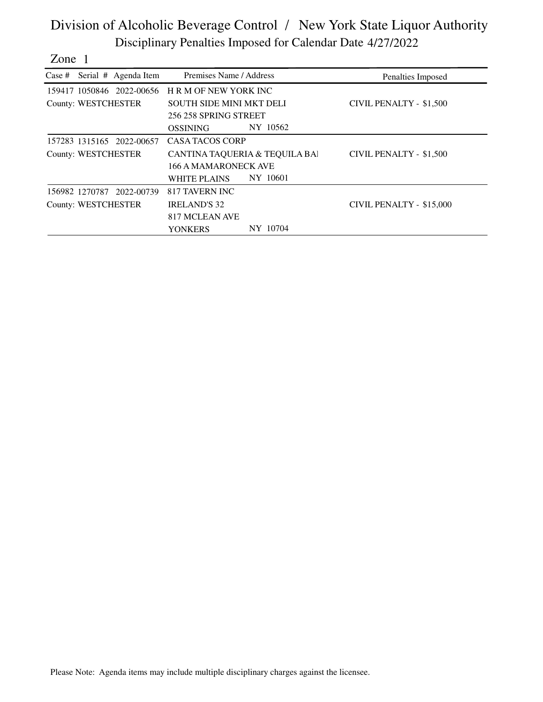| one |  |
|-----|--|
|     |  |

|                     | Case # Serial # Agenda Item | Premises Name / Address         |          | Penalties Imposed        |
|---------------------|-----------------------------|---------------------------------|----------|--------------------------|
|                     | 159417 1050846 2022-00656   | <b>HRM OF NEW YORK INC</b>      |          |                          |
| County: WESTCHESTER |                             | <b>SOUTH SIDE MINI MKT DELI</b> |          | CIVIL PENALTY - \$1,500  |
|                     |                             | 256 258 SPRING STREET           |          |                          |
|                     |                             | <b>OSSINING</b>                 | NY 10562 |                          |
|                     | 157283 1315165 2022-00657   | CASA TACOS CORP                 |          |                          |
| County: WESTCHESTER |                             | CANTINA TAQUERIA & TEQUILA BAI  |          | CIVIL PENALTY - \$1,500  |
|                     |                             | <b>166 A MAMARONECK AVE</b>     |          |                          |
|                     |                             | WHITE PLAINS                    | NY 10601 |                          |
| 156982 1270787      | 2022-00739                  | 817 TAVERN INC                  |          |                          |
| County: WESTCHESTER |                             | <b>IRELAND'S 32</b>             |          | CIVIL PENALTY - \$15,000 |
|                     |                             | 817 MCLEAN AVE                  |          |                          |
|                     |                             | YONKERS                         | NY 10704 |                          |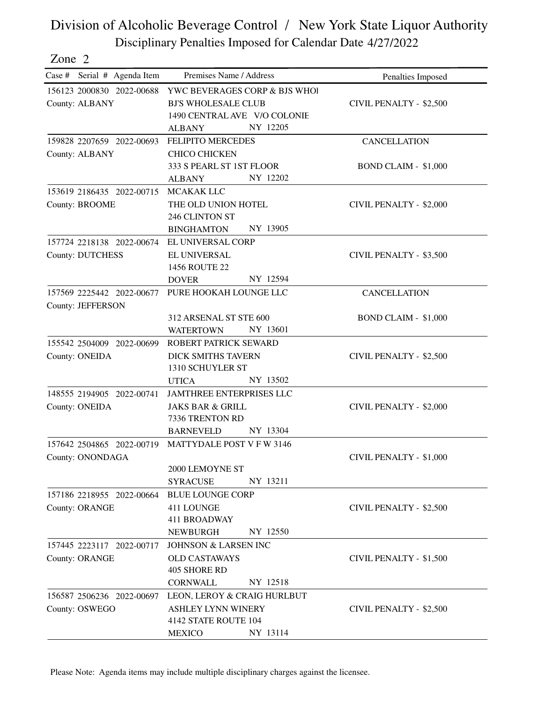| Zone 2                      |                                 |                                |
|-----------------------------|---------------------------------|--------------------------------|
| Case # Serial # Agenda Item | Premises Name / Address         | Penalties Imposed              |
| 156123 2000830 2022-00688   | YWC BEVERAGES CORP & BJS WHOI   |                                |
| County: ALBANY              | <b>BJ'S WHOLESALE CLUB</b>      | <b>CIVIL PENALTY - \$2,500</b> |
|                             | 1490 CENTRAL AVE V/O COLONIE    |                                |
|                             | NY 12205<br><b>ALBANY</b>       |                                |
| 159828 2207659 2022-00693   | <b>FELIPITO MERCEDES</b>        | <b>CANCELLATION</b>            |
| <b>County: ALBANY</b>       | <b>CHICO CHICKEN</b>            |                                |
|                             | 333 S PEARL ST 1ST FLOOR        | <b>BOND CLAIM - \$1,000</b>    |
|                             | NY 12202<br><b>ALBANY</b>       |                                |
| 153619 2186435 2022-00715   | MCAKAK LLC                      |                                |
| <b>County: BROOME</b>       | THE OLD UNION HOTEL             | <b>CIVIL PENALTY - \$2,000</b> |
|                             | 246 CLINTON ST                  |                                |
|                             | NY 13905<br><b>BINGHAMTON</b>   |                                |
| 157724 2218138 2022-00674   | EL UNIVERSAL CORP               |                                |
| <b>County: DUTCHESS</b>     | EL UNIVERSAL                    | CIVIL PENALTY - \$3,500        |
|                             | 1456 ROUTE 22                   |                                |
|                             | NY 12594<br><b>DOVER</b>        |                                |
| 157569 2225442 2022-00677   | PURE HOOKAH LOUNGE LLC          | <b>CANCELLATION</b>            |
| County: JEFFERSON           |                                 |                                |
|                             | 312 ARSENAL ST STE 600          | <b>BOND CLAIM - \$1,000</b>    |
|                             | NY 13601<br><b>WATERTOWN</b>    |                                |
| 155542 2504009 2022-00699   | ROBERT PATRICK SEWARD           |                                |
| County: ONEIDA              | <b>DICK SMITHS TAVERN</b>       | <b>CIVIL PENALTY - \$2,500</b> |
|                             | 1310 SCHUYLER ST                |                                |
|                             | NY 13502<br><b>UTICA</b>        |                                |
| 148555 2194905 2022-00741   | JAMTHREE ENTERPRISES LLC        |                                |
| County: ONEIDA              | <b>JAKS BAR &amp; GRILL</b>     | <b>CIVIL PENALTY - \$2,000</b> |
|                             | 7336 TRENTON RD                 |                                |
|                             | NY 13304<br><b>BARNEVELD</b>    |                                |
| 157642 2504865 2022-00719   | MATTYDALE POST V F W 3146       |                                |
| County: ONONDAGA            |                                 | CIVIL PENALTY - \$1,000        |
|                             | 2000 LEMOYNE ST                 |                                |
|                             | NY 13211<br><b>SYRACUSE</b>     |                                |
| 157186 2218955 2022-00664   | <b>BLUE LOUNGE CORP</b>         |                                |
| <b>County: ORANGE</b>       | 411 LOUNGE                      | CIVIL PENALTY - \$2,500        |
|                             | 411 BROADWAY                    |                                |
|                             | NY 12550<br><b>NEWBURGH</b>     |                                |
| 157445 2223117 2022-00717   | <b>JOHNSON &amp; LARSEN INC</b> |                                |
| County: ORANGE              | <b>OLD CASTAWAYS</b>            | CIVIL PENALTY - \$1,500        |
|                             | 405 SHORE RD                    |                                |
|                             | NY 12518<br><b>CORNWALL</b>     |                                |
| 156587 2506236 2022-00697   | LEON, LEROY & CRAIG HURLBUT     |                                |
| County: OSWEGO              | <b>ASHLEY LYNN WINERY</b>       | CIVIL PENALTY - \$2,500        |
|                             | 4142 STATE ROUTE 104            |                                |

Please Note: Agenda items may include multiple disciplinary charges against the licensee.

MEXICO NY 13114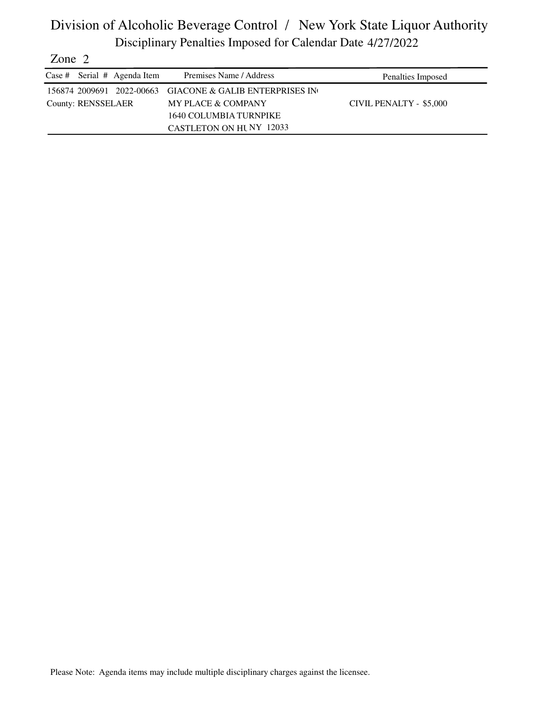| Zone $2$ |                    |                               |                                                          |                         |
|----------|--------------------|-------------------------------|----------------------------------------------------------|-------------------------|
|          |                    | Case # Serial $#$ Agenda Item | Premises Name / Address                                  | Penalties Imposed       |
|          |                    |                               | 156874 2009691 2022-00663 GIACONE & GALIB ENTERPRISES IN |                         |
|          | County: RENSSELAER |                               | <b>MY PLACE &amp; COMPANY</b>                            | CIVIL PENALTY - \$5,000 |
|          |                    |                               | 1640 COLUMBIA TURNPIKE                                   |                         |
|          |                    |                               | <b>CASTLETON ON HUNY 12033</b>                           |                         |